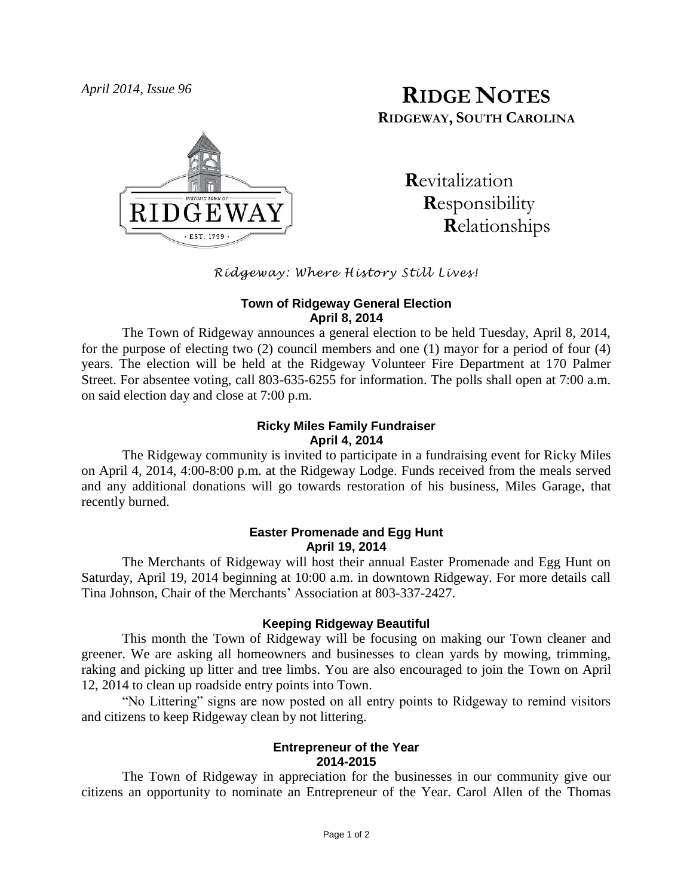

# *April 2014, Issue 96* **RIDGE NOTES RIDGEWAY, SOUTH CAROLINA**

 **R**evitalization  **R**esponsibility  **R**elationships

# *Ridgeway: Where History Still Lives!*

#### **Town of Ridgeway General Election April 8, 2014**

The Town of Ridgeway announces a general election to be held Tuesday, April 8, 2014, for the purpose of electing two (2) council members and one (1) mayor for a period of four (4) years. The election will be held at the Ridgeway Volunteer Fire Department at 170 Palmer Street. For absentee voting, call 803-635-6255 for information. The polls shall open at 7:00 a.m. on said election day and close at 7:00 p.m.

#### **Ricky Miles Family Fundraiser April 4, 2014**

The Ridgeway community is invited to participate in a fundraising event for Ricky Miles on April 4, 2014, 4:00-8:00 p.m. at the Ridgeway Lodge. Funds received from the meals served and any additional donations will go towards restoration of his business, Miles Garage, that recently burned.

# **Easter Promenade and Egg Hunt April 19, 2014**

The Merchants of Ridgeway will host their annual Easter Promenade and Egg Hunt on Saturday, April 19, 2014 beginning at 10:00 a.m. in downtown Ridgeway. For more details call Tina Johnson, Chair of the Merchants' Association at 803-337-2427.

# **Keeping Ridgeway Beautiful**

This month the Town of Ridgeway will be focusing on making our Town cleaner and greener. We are asking all homeowners and businesses to clean yards by mowing, trimming, raking and picking up litter and tree limbs. You are also encouraged to join the Town on April 12, 2014 to clean up roadside entry points into Town.

"No Littering" signs are now posted on all entry points to Ridgeway to remind visitors and citizens to keep Ridgeway clean by not littering.

#### **Entrepreneur of the Year 2014-2015**

The Town of Ridgeway in appreciation for the businesses in our community give our citizens an opportunity to nominate an Entrepreneur of the Year. Carol Allen of the Thomas